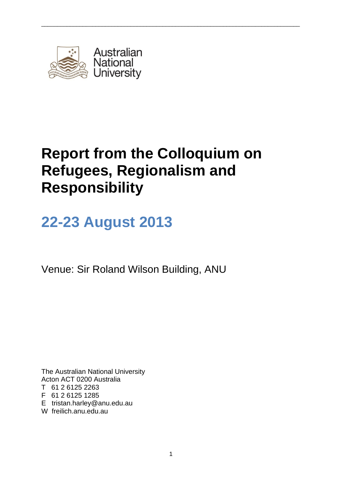

# **Report from the Colloquium on Refugees, Regionalism and Responsibility**

\_\_\_\_\_\_\_\_\_\_\_\_\_\_\_\_\_\_\_\_\_\_\_\_\_\_\_\_\_\_\_\_\_\_\_\_\_\_\_\_\_\_\_\_\_\_\_\_\_\_\_\_\_\_\_\_\_\_\_\_\_\_\_\_\_\_\_\_\_\_\_\_\_\_\_\_\_\_\_\_\_

# **22-23 August 2013**

Venue: Sir Roland Wilson Building, ANU

The Australian National University Acton ACT 0200 Australia T 61 2 6125 2263 F 61 2 6125 1285 E tristan.harley@anu.edu.au

W freilich.anu.edu.au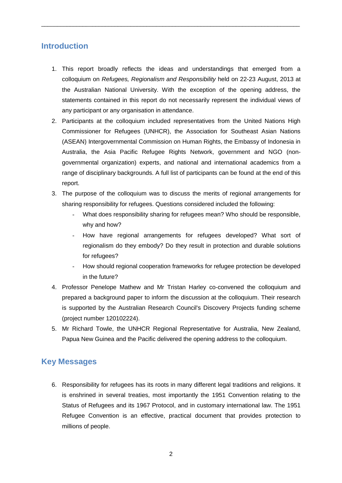## **Introduction**

1. This report broadly reflects the ideas and understandings that emerged from a colloquium on *Refugees, Regionalism and Responsibility* held on 22-23 August, 2013 at the Australian National University. With the exception of the opening address, the statements contained in this report do not necessarily represent the individual views of any participant or any organisation in attendance.

\_\_\_\_\_\_\_\_\_\_\_\_\_\_\_\_\_\_\_\_\_\_\_\_\_\_\_\_\_\_\_\_\_\_\_\_\_\_\_\_\_\_\_\_\_\_\_\_\_\_\_\_\_\_\_\_\_\_\_\_\_\_\_\_\_\_\_\_\_\_\_\_\_\_\_\_\_\_\_\_\_

- 2. Participants at the colloquium included representatives from the United Nations High Commissioner for Refugees (UNHCR), the Association for Southeast Asian Nations (ASEAN) Intergovernmental Commission on Human Rights, the Embassy of Indonesia in Australia, the Asia Pacific Refugee Rights Network, government and NGO (nongovernmental organization) experts, and national and international academics from a range of disciplinary backgrounds. A full list of participants can be found at the end of this report.
- 3. The purpose of the colloquium was to discuss the merits of regional arrangements for sharing responsibility for refugees. Questions considered included the following:
	- What does responsibility sharing for refugees mean? Who should be responsible, why and how?
	- How have regional arrangements for refugees developed? What sort of regionalism do they embody? Do they result in protection and durable solutions for refugees?
	- How should regional cooperation frameworks for refugee protection be developed in the future?
- 4. Professor Penelope Mathew and Mr Tristan Harley co-convened the colloquium and prepared a background paper to inform the discussion at the colloquium. Their research is supported by the Australian Research Council's Discovery Projects funding scheme (project number 120102224).
- 5. Mr Richard Towle, the UNHCR Regional Representative for Australia, New Zealand, Papua New Guinea and the Pacific delivered the opening address to the colloquium.

## **Key Messages**

6. Responsibility for refugees has its roots in many different legal traditions and religions. It is enshrined in several treaties, most importantly the 1951 Convention relating to the Status of Refugees and its 1967 Protocol, and in customary international law. The 1951 Refugee Convention is an effective, practical document that provides protection to millions of people.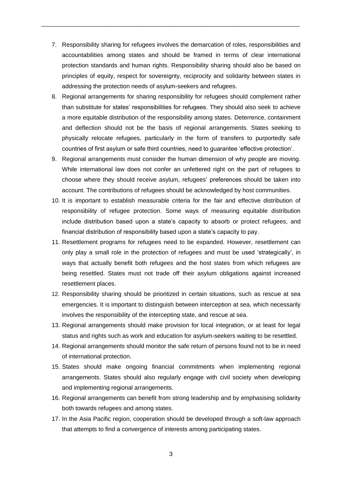7. Responsibility sharing for refugees involves the demarcation of roles, responsibilities and accountabilities among states and should be framed in terms of clear international protection standards and human rights. Responsibility sharing should also be based on principles of equity, respect for sovereignty, reciprocity and solidarity between states in addressing the protection needs of asylum-seekers and refugees.

\_\_\_\_\_\_\_\_\_\_\_\_\_\_\_\_\_\_\_\_\_\_\_\_\_\_\_\_\_\_\_\_\_\_\_\_\_\_\_\_\_\_\_\_\_\_\_\_\_\_\_\_\_\_\_\_\_\_\_\_\_\_\_\_\_\_\_\_\_\_\_\_\_\_\_\_\_\_\_\_\_

- 8. Regional arrangements for sharing responsibility for refugees should complement rather than substitute for states' responsibilities for refugees. They should also seek to achieve a more equitable distribution of the responsibility among states. Deterrence, containment and deflection should not be the basis of regional arrangements. States seeking to physically relocate refugees, particularly in the form of transfers to purportedly safe countries of first asylum or safe third countries, need to guarantee 'effective protection'.
- 9. Regional arrangements must consider the human dimension of why people are moving. While international law does not confer an unfettered right on the part of refugees to choose where they should receive asylum, refugees' preferences should be taken into account. The contributions of refugees should be acknowledged by host communities.
- 10. It is important to establish measurable criteria for the fair and effective distribution of responsibility of refugee protection. Some ways of measuring equitable distribution include distribution based upon a state's capacity to absorb or protect refugees, and financial distribution of responsibility based upon a state's capacity to pay.
- 11. Resettlement programs for refugees need to be expanded. However, resettlement can only play a small role in the protection of refugees and must be used 'strategically', in ways that actually benefit both refugees and the host states from which refugees are being resettled. States must not trade off their asylum obligations against increased resettlement places.
- 12. Responsibility sharing should be prioritized in certain situations, such as rescue at sea emergencies. It is important to distinguish between interception at sea, which necessarily involves the responsibility of the intercepting state, and rescue at sea.
- 13. Regional arrangements should make provision for local integration, or at least for legal status and rights such as work and education for asylum-seekers waiting to be resettled.
- 14. Regional arrangements should monitor the safe return of persons found not to be in need of international protection.
- 15. States should make ongoing financial commitments when implementing regional arrangements. States should also regularly engage with civil society when developing and implementing regional arrangements.
- 16. Regional arrangements can benefit from strong leadership and by emphasising solidarity both towards refugees and among states.
- 17. In the Asia Pacific region, cooperation should be developed through a soft-law approach that attempts to find a convergence of interests among participating states.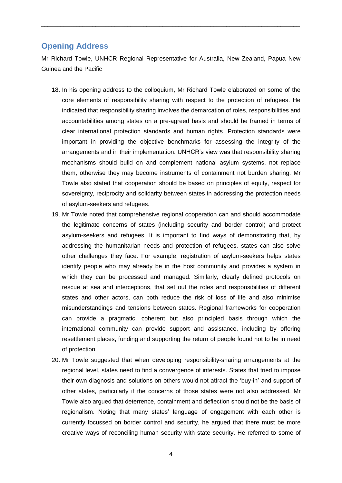## **Opening Address**

Mr Richard Towle, UNHCR Regional Representative for Australia, New Zealand, Papua New Guinea and the Pacific

\_\_\_\_\_\_\_\_\_\_\_\_\_\_\_\_\_\_\_\_\_\_\_\_\_\_\_\_\_\_\_\_\_\_\_\_\_\_\_\_\_\_\_\_\_\_\_\_\_\_\_\_\_\_\_\_\_\_\_\_\_\_\_\_\_\_\_\_\_\_\_\_\_\_\_\_\_\_\_\_\_

- 18. In his opening address to the colloquium, Mr Richard Towle elaborated on some of the core elements of responsibility sharing with respect to the protection of refugees. He indicated that responsibility sharing involves the demarcation of roles, responsibilities and accountabilities among states on a pre-agreed basis and should be framed in terms of clear international protection standards and human rights. Protection standards were important in providing the objective benchmarks for assessing the integrity of the arrangements and in their implementation. UNHCR's view was that responsibility sharing mechanisms should build on and complement national asylum systems, not replace them, otherwise they may become instruments of containment not burden sharing. Mr Towle also stated that cooperation should be based on principles of equity, respect for sovereignty, reciprocity and solidarity between states in addressing the protection needs of asylum-seekers and refugees.
- 19. Mr Towle noted that comprehensive regional cooperation can and should accommodate the legitimate concerns of states (including security and border control) and protect asylum-seekers and refugees. It is important to find ways of demonstrating that, by addressing the humanitarian needs and protection of refugees, states can also solve other challenges they face. For example, registration of asylum-seekers helps states identify people who may already be in the host community and provides a system in which they can be processed and managed. Similarly, clearly defined protocols on rescue at sea and interceptions, that set out the roles and responsibilities of different states and other actors, can both reduce the risk of loss of life and also minimise misunderstandings and tensions between states. Regional frameworks for cooperation can provide a pragmatic, coherent but also principled basis through which the international community can provide support and assistance, including by offering resettlement places, funding and supporting the return of people found not to be in need of protection.
- 20. Mr Towle suggested that when developing responsibility-sharing arrangements at the regional level, states need to find a convergence of interests. States that tried to impose their own diagnosis and solutions on others would not attract the 'buy-in' and support of other states, particularly if the concerns of those states were not also addressed. Mr Towle also argued that deterrence, containment and deflection should not be the basis of regionalism. Noting that many states' language of engagement with each other is currently focussed on border control and security, he argued that there must be more creative ways of reconciling human security with state security. He referred to some of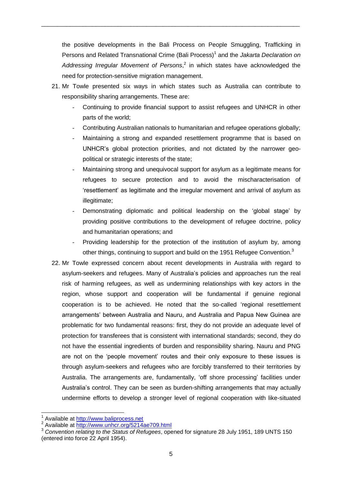the positive developments in the Bali Process on People Smuggling, Trafficking in Persons and Related Transnational Crime (Bali Process)<sup>1</sup> and the *Jakarta Declaration on* Addressing Irregular Movement of Persons,<sup>2</sup> in which states have acknowledged the need for protection-sensitive migration management.

\_\_\_\_\_\_\_\_\_\_\_\_\_\_\_\_\_\_\_\_\_\_\_\_\_\_\_\_\_\_\_\_\_\_\_\_\_\_\_\_\_\_\_\_\_\_\_\_\_\_\_\_\_\_\_\_\_\_\_\_\_\_\_\_\_\_\_\_\_\_\_\_\_\_\_\_\_\_\_\_\_

- 21. Mr Towle presented six ways in which states such as Australia can contribute to responsibility sharing arrangements. These are:
	- Continuing to provide financial support to assist refugees and UNHCR in other parts of the world;
	- Contributing Australian nationals to humanitarian and refugee operations globally;
	- Maintaining a strong and expanded resettlement programme that is based on UNHCR's global protection priorities, and not dictated by the narrower geopolitical or strategic interests of the state;
	- Maintaining strong and unequivocal support for asylum as a legitimate means for refugees to secure protection and to avoid the mischaracterisation of 'resettlement' as legitimate and the irregular movement and arrival of asylum as illegitimate:
	- Demonstrating diplomatic and political leadership on the 'global stage' by providing positive contributions to the development of refugee doctrine, policy and humanitarian operations; and
	- Providing leadership for the protection of the institution of asylum by, among other things, continuing to support and build on the 1951 Refugee Convention.<sup>3</sup>
- 22. Mr Towle expressed concern about recent developments in Australia with regard to asylum-seekers and refugees. Many of Australia's policies and approaches run the real risk of harming refugees, as well as undermining relationships with key actors in the region, whose support and cooperation will be fundamental if genuine regional cooperation is to be achieved. He noted that the so-called 'regional resettlement arrangements' between Australia and Nauru, and Australia and Papua New Guinea are problematic for two fundamental reasons: first, they do not provide an adequate level of protection for transferees that is consistent with international standards; second, they do not have the essential ingredients of burden and responsibility sharing. Nauru and PNG are not on the 'people movement' routes and their only exposure to these issues is through asylum-seekers and refugees who are forcibly transferred to their territories by Australia. The arrangements are, fundamentally, 'off shore processing' facilities under Australia's control. They can be seen as burden-shifting arrangements that may actually undermine efforts to develop a stronger level of regional cooperation with like-situated

1

<sup>1</sup> Available at [http://www.baliprocess.net](http://www.baliprocess.net/)

<sup>&</sup>lt;sup>2</sup> Available at<http://www.unhcr.org/5214ae709.html>

<sup>&</sup>lt;sup>3</sup> Convention relating to the Status of Refugees, opened for signature 28 July 1951, 189 UNTS 150 (entered into force 22 April 1954).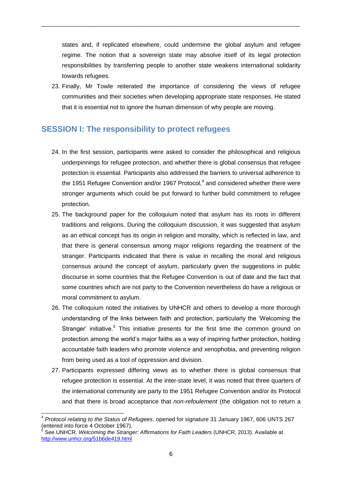states and, if replicated elsewhere, could undermine the global asylum and refugee regime. The notion that a sovereign state may absolve itself of its legal protection responsibilities by transferring people to another state weakens international solidarity towards refugees.

\_\_\_\_\_\_\_\_\_\_\_\_\_\_\_\_\_\_\_\_\_\_\_\_\_\_\_\_\_\_\_\_\_\_\_\_\_\_\_\_\_\_\_\_\_\_\_\_\_\_\_\_\_\_\_\_\_\_\_\_\_\_\_\_\_\_\_\_\_\_\_\_\_\_\_\_\_\_\_\_\_

23. Finally, Mr Towle reiterated the importance of considering the views of refugee communities and their societies when developing appropriate state responses. He stated that it is essential not to ignore the human dimension of why people are moving.

## **SESSION I: The responsibility to protect refugees**

- 24. In the first session, participants were asked to consider the philosophical and religious underpinnings for refugee protection, and whether there is global consensus that refugee protection is essential. Participants also addressed the barriers to universal adherence to the 1951 Refugee Convention and/or 1967 Protocol, $4$  and considered whether there were stronger arguments which could be put forward to further build commitment to refugee protection.
- 25. The background paper for the colloquium noted that asylum has its roots in different traditions and religions. During the colloquium discussion, it was suggested that asylum as an ethical concept has its origin in religion and morality, which is reflected in law, and that there is general consensus among major religions regarding the treatment of the stranger. Participants indicated that there is value in recalling the moral and religious consensus around the concept of asylum, particularly given the suggestions in public discourse in some countries that the Refugee Convention is out of date and the fact that some countries which are not party to the Convention nevertheless do have a religious or moral commitment to asylum.
- 26. The colloquium noted the initiatives by UNHCR and others to develop a more thorough understanding of the links between faith and protection, particularly the 'Welcoming the Stranger' initiative.<sup>5</sup> This initiative presents for the first time the common ground on protection among the world's major faiths as a way of inspiring further protection, holding accountable faith leaders who promote violence and xenophobia, and preventing religion from being used as a tool of oppression and division.
- 27. Participants expressed differing views as to whether there is global consensus that refugee protection is essential. At the inter-state level, it was noted that three quarters of the international community are party to the 1951 Refugee Convention and/or its Protocol and that there is broad acceptance that *non-refoulement* (the obligation not to return a

 4 *Protocol relating to the Status of Refugees*, opened for signature 31 January 1967, 606 UNTS 267 (entered into force 4 October 1967).

<sup>5</sup> See UNHCR, *Welcoming the Stranger: Affirmations for Faith Leaders* (UNHCR, 2013). Available at <http://www.unhcr.org/51b6de419.html>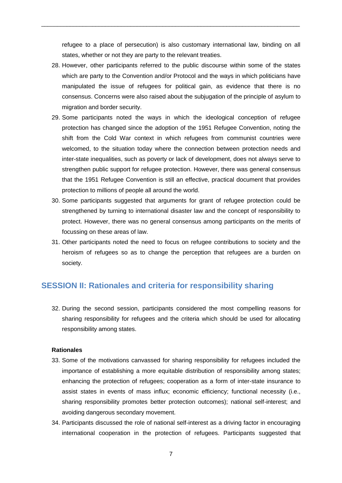refugee to a place of persecution) is also customary international law, binding on all states, whether or not they are party to the relevant treaties.

\_\_\_\_\_\_\_\_\_\_\_\_\_\_\_\_\_\_\_\_\_\_\_\_\_\_\_\_\_\_\_\_\_\_\_\_\_\_\_\_\_\_\_\_\_\_\_\_\_\_\_\_\_\_\_\_\_\_\_\_\_\_\_\_\_\_\_\_\_\_\_\_\_\_\_\_\_\_\_\_\_

- 28. However, other participants referred to the public discourse within some of the states which are party to the Convention and/or Protocol and the ways in which politicians have manipulated the issue of refugees for political gain, as evidence that there is no consensus. Concerns were also raised about the subjugation of the principle of asylum to migration and border security.
- 29. Some participants noted the ways in which the ideological conception of refugee protection has changed since the adoption of the 1951 Refugee Convention, noting the shift from the Cold War context in which refugees from communist countries were welcomed, to the situation today where the connection between protection needs and inter-state inequalities, such as poverty or lack of development, does not always serve to strengthen public support for refugee protection. However, there was general consensus that the 1951 Refugee Convention is still an effective, practical document that provides protection to millions of people all around the world.
- 30. Some participants suggested that arguments for grant of refugee protection could be strengthened by turning to international disaster law and the concept of responsibility to protect. However, there was no general consensus among participants on the merits of focussing on these areas of law.
- 31. Other participants noted the need to focus on refugee contributions to society and the heroism of refugees so as to change the perception that refugees are a burden on society.

## **SESSION II: Rationales and criteria for responsibility sharing**

32. During the second session, participants considered the most compelling reasons for sharing responsibility for refugees and the criteria which should be used for allocating responsibility among states.

#### **Rationales**

- 33. Some of the motivations canvassed for sharing responsibility for refugees included the importance of establishing a more equitable distribution of responsibility among states; enhancing the protection of refugees; cooperation as a form of inter-state insurance to assist states in events of mass influx; economic efficiency; functional necessity (i.e., sharing responsibility promotes better protection outcomes); national self-interest; and avoiding dangerous secondary movement.
- 34. Participants discussed the role of national self-interest as a driving factor in encouraging international cooperation in the protection of refugees. Participants suggested that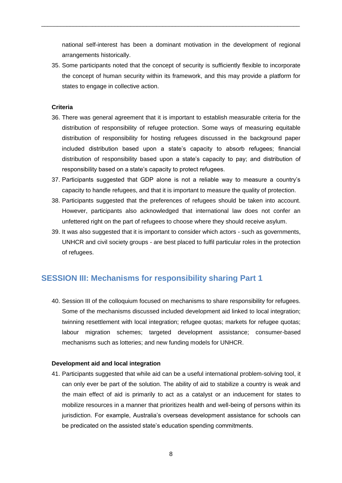national self-interest has been a dominant motivation in the development of regional arrangements historically.

\_\_\_\_\_\_\_\_\_\_\_\_\_\_\_\_\_\_\_\_\_\_\_\_\_\_\_\_\_\_\_\_\_\_\_\_\_\_\_\_\_\_\_\_\_\_\_\_\_\_\_\_\_\_\_\_\_\_\_\_\_\_\_\_\_\_\_\_\_\_\_\_\_\_\_\_\_\_\_\_\_

35. Some participants noted that the concept of security is sufficiently flexible to incorporate the concept of human security within its framework, and this may provide a platform for states to engage in collective action.

#### **Criteria**

- 36. There was general agreement that it is important to establish measurable criteria for the distribution of responsibility of refugee protection. Some ways of measuring equitable distribution of responsibility for hosting refugees discussed in the background paper included distribution based upon a state's capacity to absorb refugees; financial distribution of responsibility based upon a state's capacity to pay; and distribution of responsibility based on a state's capacity to protect refugees.
- 37. Participants suggested that GDP alone is not a reliable way to measure a country's capacity to handle refugees, and that it is important to measure the quality of protection.
- 38. Participants suggested that the preferences of refugees should be taken into account. However, participants also acknowledged that international law does not confer an unfettered right on the part of refugees to choose where they should receive asylum.
- 39. It was also suggested that it is important to consider which actors such as governments, UNHCR and civil society groups - are best placed to fulfil particular roles in the protection of refugees.

## **SESSION III: Mechanisms for responsibility sharing Part 1**

40. Session III of the colloquium focused on mechanisms to share responsibility for refugees. Some of the mechanisms discussed included development aid linked to local integration; twinning resettlement with local integration; refugee quotas; markets for refugee quotas; labour migration schemes; targeted development assistance; consumer-based mechanisms such as lotteries; and new funding models for UNHCR.

#### **Development aid and local integration**

41. Participants suggested that while aid can be a useful international problem-solving tool, it can only ever be part of the solution. The ability of aid to stabilize a country is weak and the main effect of aid is primarily to act as a catalyst or an inducement for states to mobilize resources in a manner that prioritizes health and well-being of persons within its jurisdiction. For example, Australia's overseas development assistance for schools can be predicated on the assisted state's education spending commitments.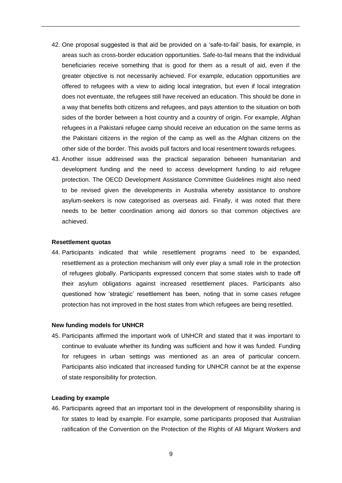42. One proposal suggested is that aid be provided on a 'safe-to-fail' basis, for example, in areas such as cross-border education opportunities. Safe-to-fail means that the individual beneficiaries receive something that is good for them as a result of aid, even if the greater objective is not necessarily achieved. For example, education opportunities are offered to refugees with a view to aiding local integration, but even if local integration does not eventuate, the refugees still have received an education. This should be done in a way that benefits both citizens and refugees, and pays attention to the situation on both sides of the border between a host country and a country of origin. For example, Afghan refugees in a Pakistani refugee camp should receive an education on the same terms as the Pakistani citizens in the region of the camp as well as the Afghan citizens on the other side of the border. This avoids pull factors and local resentment towards refugees.

\_\_\_\_\_\_\_\_\_\_\_\_\_\_\_\_\_\_\_\_\_\_\_\_\_\_\_\_\_\_\_\_\_\_\_\_\_\_\_\_\_\_\_\_\_\_\_\_\_\_\_\_\_\_\_\_\_\_\_\_\_\_\_\_\_\_\_\_\_\_\_\_\_\_\_\_\_\_\_\_\_

43. Another issue addressed was the practical separation between humanitarian and development funding and the need to access development funding to aid refugee protection. The OECD Development Assistance Committee Guidelines might also need to be revised given the developments in Australia whereby assistance to onshore asylum-seekers is now categorised as overseas aid. Finally, it was noted that there needs to be better coordination among aid donors so that common objectives are achieved.

#### **Resettlement quotas**

44. Participants indicated that while resettlement programs need to be expanded, resettlement as a protection mechanism will only ever play a small role in the protection of refugees globally. Participants expressed concern that some states wish to trade off their asylum obligations against increased resettlement places. Participants also questioned how 'strategic' resettlement has been, noting that in some cases refugee protection has not improved in the host states from which refugees are being resettled.

#### **New funding models for UNHCR**

45. Participants affirmed the important work of UNHCR and stated that it was important to continue to evaluate whether its funding was sufficient and how it was funded. Funding for refugees in urban settings was mentioned as an area of particular concern. Participants also indicated that increased funding for UNHCR cannot be at the expense of state responsibility for protection.

#### **Leading by example**

46. Participants agreed that an important tool in the development of responsibility sharing is for states to lead by example. For example, some participants proposed that Australian ratification of the Convention on the Protection of the Rights of All Migrant Workers and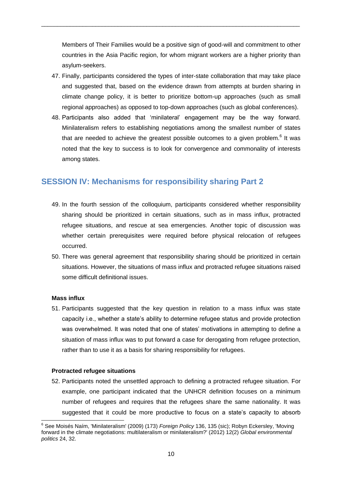Members of Their Families would be a positive sign of good-will and commitment to other countries in the Asia Pacific region, for whom migrant workers are a higher priority than asylum-seekers.

\_\_\_\_\_\_\_\_\_\_\_\_\_\_\_\_\_\_\_\_\_\_\_\_\_\_\_\_\_\_\_\_\_\_\_\_\_\_\_\_\_\_\_\_\_\_\_\_\_\_\_\_\_\_\_\_\_\_\_\_\_\_\_\_\_\_\_\_\_\_\_\_\_\_\_\_\_\_\_\_\_

- 47. Finally, participants considered the types of inter-state collaboration that may take place and suggested that, based on the evidence drawn from attempts at burden sharing in climate change policy, it is better to prioritize bottom-up approaches (such as small regional approaches) as opposed to top-down approaches (such as global conferences).
- 48. Participants also added that 'minilateral' engagement may be the way forward. Minilateralism refers to establishing negotiations among the smallest number of states that are needed to achieve the greatest possible outcomes to a given problem.<sup>6</sup> It was noted that the key to success is to look for convergence and commonality of interests among states.

## **SESSION IV: Mechanisms for responsibility sharing Part 2**

- 49. In the fourth session of the colloquium, participants considered whether responsibility sharing should be prioritized in certain situations, such as in mass influx, protracted refugee situations, and rescue at sea emergencies. Another topic of discussion was whether certain prerequisites were required before physical relocation of refugees occurred.
- 50. There was general agreement that responsibility sharing should be prioritized in certain situations. However, the situations of mass influx and protracted refugee situations raised some difficult definitional issues.

#### **Mass influx**

-

51. Participants suggested that the key question in relation to a mass influx was state capacity i.e., whether a state's ability to determine refugee status and provide protection was overwhelmed. It was noted that one of states' motivations in attempting to define a situation of mass influx was to put forward a case for derogating from refugee protection, rather than to use it as a basis for sharing responsibility for refugees.

#### **Protracted refugee situations**

52. Participants noted the unsettled approach to defining a protracted refugee situation. For example, one participant indicated that the UNHCR definition focuses on a minimum number of refugees and requires that the refugees share the same nationality. It was suggested that it could be more productive to focus on a state's capacity to absorb

<sup>6</sup> See Moisés Naím, 'Minilateralism' (2009) (173) *Foreign Policy* 136, 135 (sic); Robyn Eckersley, 'Moving forward in the climate negotiations: multilateralism or minilateralism?' (2012) 12(2) *Global environmental politics* 24, 32.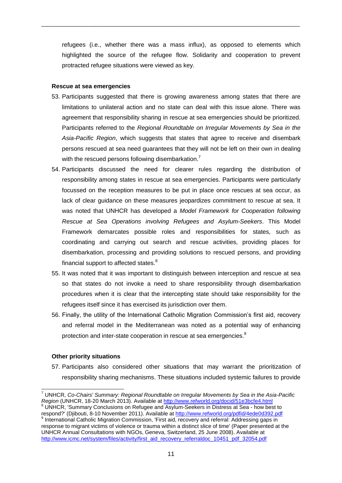refugees (i.e., whether there was a mass influx), as opposed to elements which highlighted the source of the refugee flow. Solidarity and cooperation to prevent protracted refugee situations were viewed as key.

\_\_\_\_\_\_\_\_\_\_\_\_\_\_\_\_\_\_\_\_\_\_\_\_\_\_\_\_\_\_\_\_\_\_\_\_\_\_\_\_\_\_\_\_\_\_\_\_\_\_\_\_\_\_\_\_\_\_\_\_\_\_\_\_\_\_\_\_\_\_\_\_\_\_\_\_\_\_\_\_\_

#### **Rescue at sea emergencies**

- 53. Participants suggested that there is growing awareness among states that there are limitations to unilateral action and no state can deal with this issue alone. There was agreement that responsibility sharing in rescue at sea emergencies should be prioritized. Participants referred to the *Regional Roundtable on Irregular Movements by Sea in the Asia-Pacific Region*, which suggests that states that agree to receive and disembark persons rescued at sea need guarantees that they will not be left on their own in dealing with the rescued persons following disembarkation.
- 54. Participants discussed the need for clearer rules regarding the distribution of responsibility among states in rescue at sea emergencies. Participants were particularly focussed on the reception measures to be put in place once rescues at sea occur, as lack of clear guidance on these measures jeopardizes commitment to rescue at sea. It was noted that UNHCR has developed a *Model Framework for Cooperation following Rescue at Sea Operations involving Refugees and Asylum-Seekers*. This Model Framework demarcates possible roles and responsibilities for states, such as coordinating and carrying out search and rescue activities, providing places for disembarkation, processing and providing solutions to rescued persons, and providing financial support to affected states.<sup>8</sup>
- 55. It was noted that it was important to distinguish between interception and rescue at sea so that states do not invoke a need to share responsibility through disembarkation procedures when it is clear that the intercepting state should take responsibility for the refugees itself since it has exercised its jurisdiction over them.
- 56. Finally, the utility of the International Catholic Migration Commission's first aid, recovery and referral model in the Mediterranean was noted as a potential way of enhancing protection and inter-state cooperation in rescue at sea emergencies.<sup>9</sup>

#### **Other priority situations**

57. Participants also considered other situations that may warrant the prioritization of responsibility sharing mechanisms. These situations included systemic failures to provide

<sup>1</sup> <sup>7</sup> UNHCR, *Co-Chairs' Summary: Regional Roundtable on Irregular Movements by Sea in the Asia-Pacific Region* (UNHCR, 18-20 March 2013). Available at<http://www.refworld.org/docid/51e3bcfe4.html>

<sup>8</sup> UNHCR, 'Summary Conclusions on Refugee and Asylum-Seekers in Distress at Sea - how best to respond?' (Djibouti, 8-10 November 2011). Available at<http://www.refworld.org/pdfid/4ede0d392.pdf> <sup>9</sup> International Catholic Migration Commission, 'First aid, recovery and referral: Addressing gaps in response to migrant victims of violence or trauma within a distinct slice of time' (Paper presented at the UNHCR Annual Consultations with NGOs, Geneva, Switzerland, 25 June 2008). Available at

[http://www.icmc.net/system/files/activity/first\\_aid\\_recovery\\_referraldoc\\_10451\\_pdf\\_32054.pdf](http://www.icmc.net/system/files/activity/first_aid_recovery_referraldoc_10451_pdf_32054.pdf)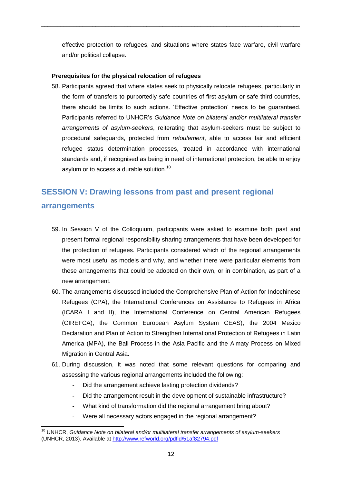effective protection to refugees, and situations where states face warfare, civil warfare and/or political collapse.

\_\_\_\_\_\_\_\_\_\_\_\_\_\_\_\_\_\_\_\_\_\_\_\_\_\_\_\_\_\_\_\_\_\_\_\_\_\_\_\_\_\_\_\_\_\_\_\_\_\_\_\_\_\_\_\_\_\_\_\_\_\_\_\_\_\_\_\_\_\_\_\_\_\_\_\_\_\_\_\_\_

#### **Prerequisites for the physical relocation of refugees**

58. Participants agreed that where states seek to physically relocate refugees, particularly in the form of transfers to purportedly safe countries of first asylum or safe third countries, there should be limits to such actions. 'Effective protection' needs to be guaranteed. Participants referred to UNHCR's *Guidance Note on bilateral and/or multilateral transfer arrangements of asylum-seekers*, reiterating that asylum-seekers must be subject to procedural safeguards, protected from *refoulement*, able to access fair and efficient refugee status determination processes, treated in accordance with international standards and, if recognised as being in need of international protection, be able to enjoy asylum or to access a durable solution.<sup>10</sup>

## **SESSION V: Drawing lessons from past and present regional arrangements**

- 59. In Session V of the Colloquium, participants were asked to examine both past and present formal regional responsibility sharing arrangements that have been developed for the protection of refugees. Participants considered which of the regional arrangements were most useful as models and why, and whether there were particular elements from these arrangements that could be adopted on their own, or in combination, as part of a new arrangement.
- 60. The arrangements discussed included the Comprehensive Plan of Action for Indochinese Refugees (CPA), the International Conferences on Assistance to Refugees in Africa (ICARA I and II), the International Conference on Central American Refugees (CIREFCA), the Common European Asylum System CEAS), the 2004 Mexico Declaration and Plan of Action to Strengthen International Protection of Refugees in Latin America (MPA), the Bali Process in the Asia Pacific and the Almaty Process on Mixed Migration in Central Asia.
- 61. During discussion, it was noted that some relevant questions for comparing and assessing the various regional arrangements included the following:
	- Did the arrangement achieve lasting protection dividends?
	- Did the arrangement result in the development of sustainable infrastructure?
	- What kind of transformation did the regional arrangement bring about?
	- Were all necessary actors engaged in the regional arrangement?

-

<sup>10</sup> UNHCR, *Guidance Note on bilateral and/or multilateral transfer arrangements of asylum-seekers* (UNHCR, 2013). Available at<http://www.refworld.org/pdfid/51af82794.pdf>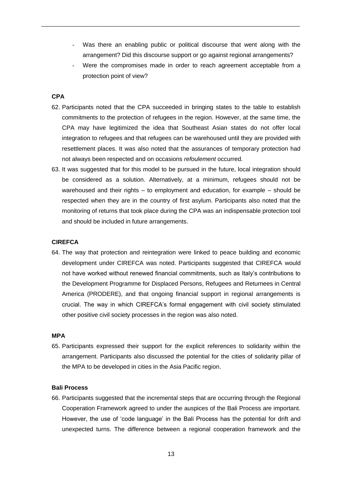Was there an enabling public or political discourse that went along with the arrangement? Did this discourse support or go against regional arrangements?

\_\_\_\_\_\_\_\_\_\_\_\_\_\_\_\_\_\_\_\_\_\_\_\_\_\_\_\_\_\_\_\_\_\_\_\_\_\_\_\_\_\_\_\_\_\_\_\_\_\_\_\_\_\_\_\_\_\_\_\_\_\_\_\_\_\_\_\_\_\_\_\_\_\_\_\_\_\_\_\_\_

Were the compromises made in order to reach agreement acceptable from a protection point of view?

#### **CPA**

- 62. Participants noted that the CPA succeeded in bringing states to the table to establish commitments to the protection of refugees in the region. However, at the same time, the CPA may have legitimized the idea that Southeast Asian states do not offer local integration to refugees and that refugees can be warehoused until they are provided with resettlement places. It was also noted that the assurances of temporary protection had not always been respected and on occasions *refoulement* occurred.
- 63. It was suggested that for this model to be pursued in the future, local integration should be considered as a solution. Alternatively, at a minimum, refugees should not be warehoused and their rights – to employment and education, for example – should be respected when they are in the country of first asylum. Participants also noted that the monitoring of returns that took place during the CPA was an indispensable protection tool and should be included in future arrangements.

#### **CIREFCA**

64. The way that protection and reintegration were linked to peace building and economic development under CIREFCA was noted. Participants suggested that CIREFCA would not have worked without renewed financial commitments, such as Italy's contributions to the Development Programme for Displaced Persons, Refugees and Returnees in Central America (PRODERE), and that ongoing financial support in regional arrangements is crucial. The way in which CIREFCA's formal engagement with civil society stimulated other positive civil society processes in the region was also noted.

#### **MPA**

65. Participants expressed their support for the explicit references to solidarity within the arrangement. Participants also discussed the potential for the cities of solidarity pillar of the MPA to be developed in cities in the Asia Pacific region.

#### **Bali Process**

66. Participants suggested that the incremental steps that are occurring through the Regional Cooperation Framework agreed to under the auspices of the Bali Process are important. However, the use of 'code language' in the Bali Process has the potential for drift and unexpected turns. The difference between a regional cooperation framework and the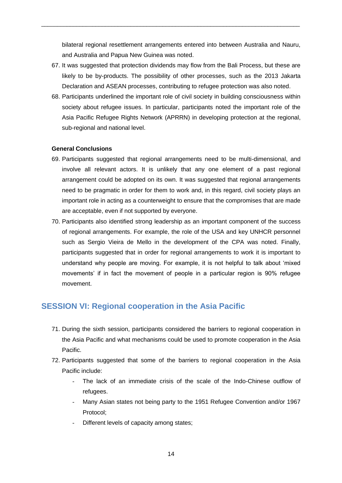bilateral regional resettlement arrangements entered into between Australia and Nauru, and Australia and Papua New Guinea was noted.

\_\_\_\_\_\_\_\_\_\_\_\_\_\_\_\_\_\_\_\_\_\_\_\_\_\_\_\_\_\_\_\_\_\_\_\_\_\_\_\_\_\_\_\_\_\_\_\_\_\_\_\_\_\_\_\_\_\_\_\_\_\_\_\_\_\_\_\_\_\_\_\_\_\_\_\_\_\_\_\_\_

- 67. It was suggested that protection dividends may flow from the Bali Process, but these are likely to be by-products. The possibility of other processes, such as the 2013 Jakarta Declaration and ASEAN processes, contributing to refugee protection was also noted.
- 68. Participants underlined the important role of civil society in building consciousness within society about refugee issues. In particular, participants noted the important role of the Asia Pacific Refugee Rights Network (APRRN) in developing protection at the regional, sub-regional and national level.

#### **General Conclusions**

- 69. Participants suggested that regional arrangements need to be multi-dimensional, and involve all relevant actors. It is unlikely that any one element of a past regional arrangement could be adopted on its own. It was suggested that regional arrangements need to be pragmatic in order for them to work and, in this regard, civil society plays an important role in acting as a counterweight to ensure that the compromises that are made are acceptable, even if not supported by everyone.
- 70. Participants also identified strong leadership as an important component of the success of regional arrangements. For example, the role of the USA and key UNHCR personnel such as Sergio Vieira de Mello in the development of the CPA was noted. Finally, participants suggested that in order for regional arrangements to work it is important to understand why people are moving. For example, it is not helpful to talk about 'mixed movements' if in fact the movement of people in a particular region is 90% refugee movement.

## **SESSION VI: Regional cooperation in the Asia Pacific**

- 71. During the sixth session, participants considered the barriers to regional cooperation in the Asia Pacific and what mechanisms could be used to promote cooperation in the Asia Pacific.
- 72. Participants suggested that some of the barriers to regional cooperation in the Asia Pacific include:
	- The lack of an immediate crisis of the scale of the Indo-Chinese outflow of refugees.
	- Many Asian states not being party to the 1951 Refugee Convention and/or 1967 Protocol;
	- Different levels of capacity among states;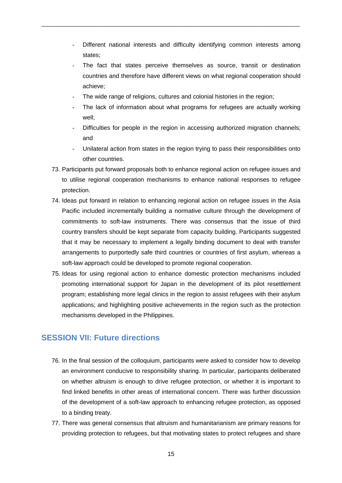- Different national interests and difficulty identifying common interests among states;
- The fact that states perceive themselves as source, transit or destination countries and therefore have different views on what regional cooperation should achieve;
- The wide range of religions, cultures and colonial histories in the region;

\_\_\_\_\_\_\_\_\_\_\_\_\_\_\_\_\_\_\_\_\_\_\_\_\_\_\_\_\_\_\_\_\_\_\_\_\_\_\_\_\_\_\_\_\_\_\_\_\_\_\_\_\_\_\_\_\_\_\_\_\_\_\_\_\_\_\_\_\_\_\_\_\_\_\_\_\_\_\_\_\_

- The lack of information about what programs for refugees are actually working well;
- Difficulties for people in the region in accessing authorized migration channels; and
- Unilateral action from states in the region trying to pass their responsibilities onto other countries.
- 73. Participants put forward proposals both to enhance regional action on refugee issues and to utilise regional cooperation mechanisms to enhance national responses to refugee protection.
- 74. Ideas put forward in relation to enhancing regional action on refugee issues in the Asia Pacific included incrementally building a normative culture through the development of commitments to soft-law instruments. There was consensus that the issue of third country transfers should be kept separate from capacity building. Participants suggested that it may be necessary to implement a legally binding document to deal with transfer arrangements to purportedly safe third countries or countries of first asylum, whereas a soft-law approach could be developed to promote regional cooperation.
- 75. Ideas for using regional action to enhance domestic protection mechanisms included promoting international support for Japan in the development of its pilot resettlement program; establishing more legal clinics in the region to assist refugees with their asylum applications; and highlighting positive achievements in the region such as the protection mechanisms developed in the Philippines.

## **SESSION VII: Future directions**

- 76. In the final session of the colloquium, participants were asked to consider how to develop an environment conducive to responsibility sharing. In particular, participants deliberated on whether altruism is enough to drive refugee protection, or whether it is important to find linked benefits in other areas of international concern. There was further discussion of the development of a soft-law approach to enhancing refugee protection, as opposed to a binding treaty.
- 77. There was general consensus that altruism and humanitarianism are primary reasons for providing protection to refugees, but that motivating states to protect refugees and share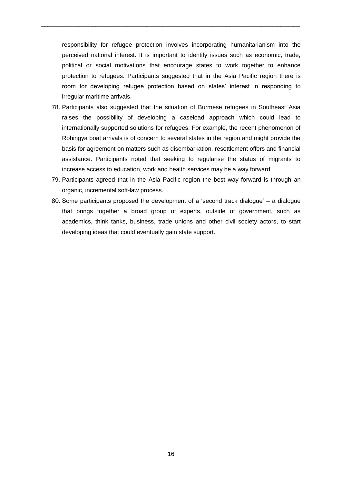responsibility for refugee protection involves incorporating humanitarianism into the perceived national interest. It is important to identify issues such as economic, trade, political or social motivations that encourage states to work together to enhance protection to refugees. Participants suggested that in the Asia Pacific region there is room for developing refugee protection based on states' interest in responding to irregular maritime arrivals.

\_\_\_\_\_\_\_\_\_\_\_\_\_\_\_\_\_\_\_\_\_\_\_\_\_\_\_\_\_\_\_\_\_\_\_\_\_\_\_\_\_\_\_\_\_\_\_\_\_\_\_\_\_\_\_\_\_\_\_\_\_\_\_\_\_\_\_\_\_\_\_\_\_\_\_\_\_\_\_\_\_

- 78. Participants also suggested that the situation of Burmese refugees in Southeast Asia raises the possibility of developing a caseload approach which could lead to internationally supported solutions for refugees. For example, the recent phenomenon of Rohingya boat arrivals is of concern to several states in the region and might provide the basis for agreement on matters such as disembarkation, resettlement offers and financial assistance. Participants noted that seeking to regularise the status of migrants to increase access to education, work and health services may be a way forward.
- 79. Participants agreed that in the Asia Pacific region the best way forward is through an organic, incremental soft-law process.
- 80. Some participants proposed the development of a 'second track dialogue' a dialogue that brings together a broad group of experts, outside of government, such as academics, think tanks, business, trade unions and other civil society actors, to start developing ideas that could eventually gain state support.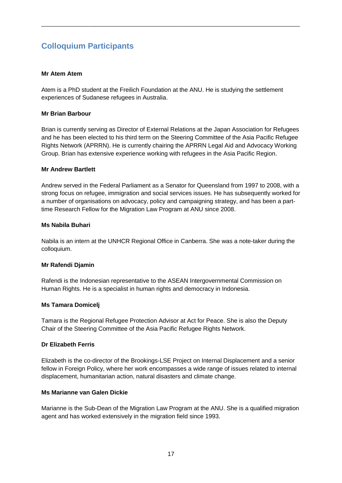## **Colloquium Participants**

#### **Mr Atem Atem**

Atem is a PhD student at the Freilich Foundation at the ANU. He is studying the settlement experiences of Sudanese refugees in Australia.

\_\_\_\_\_\_\_\_\_\_\_\_\_\_\_\_\_\_\_\_\_\_\_\_\_\_\_\_\_\_\_\_\_\_\_\_\_\_\_\_\_\_\_\_\_\_\_\_\_\_\_\_\_\_\_\_\_\_\_\_\_\_\_\_\_\_\_\_\_\_\_\_\_\_\_\_\_\_\_\_\_

#### **Mr Brian Barbour**

Brian is currently serving as Director of External Relations at the Japan Association for Refugees and he has been elected to his third term on the Steering Committee of the Asia Pacific Refugee Rights Network (APRRN). He is currently chairing the APRRN Legal Aid and Advocacy Working Group. Brian has extensive experience working with refugees in the Asia Pacific Region.

#### **Mr Andrew Bartlett**

Andrew served in the Federal Parliament as a Senator for Queensland from 1997 to 2008, with a strong focus on refugee, immigration and social services issues. He has subsequently worked for a number of organisations on advocacy, policy and campaigning strategy, and has been a parttime Research Fellow for the Migration Law Program at ANU since 2008.

#### **Ms Nabila Buhari**

Nabila is an intern at the UNHCR Regional Office in Canberra. She was a note-taker during the colloquium.

#### **Mr Rafendi Djamin**

Rafendi is the Indonesian representative to the ASEAN Intergovernmental Commission on Human Rights. He is a specialist in human rights and democracy in Indonesia.

#### **Ms Tamara Domicelj**

Tamara is the Regional Refugee Protection Advisor at Act for Peace. She is also the Deputy Chair of the Steering Committee of the Asia Pacific Refugee Rights Network.

#### **Dr Elizabeth Ferris**

Elizabeth is the co-director of the Brookings-LSE Project on Internal Displacement and a senior fellow in Foreign Policy, where her work encompasses a wide range of issues related to internal displacement, humanitarian action, natural disasters and climate change.

#### **Ms Marianne van Galen Dickie**

Marianne is the Sub-Dean of the Migration Law Program at the ANU. She is a qualified migration agent and has worked extensively in the migration field since 1993.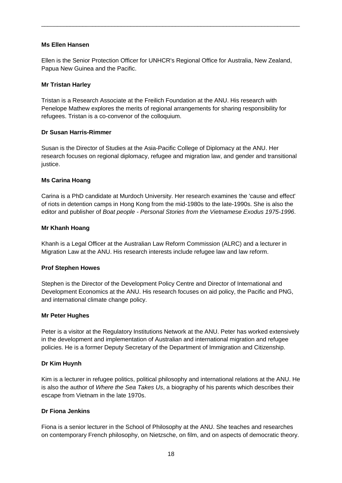#### **Ms Ellen Hansen**

Ellen is the Senior Protection Officer for UNHCR's Regional Office for Australia, New Zealand, Papua New Guinea and the Pacific.

\_\_\_\_\_\_\_\_\_\_\_\_\_\_\_\_\_\_\_\_\_\_\_\_\_\_\_\_\_\_\_\_\_\_\_\_\_\_\_\_\_\_\_\_\_\_\_\_\_\_\_\_\_\_\_\_\_\_\_\_\_\_\_\_\_\_\_\_\_\_\_\_\_\_\_\_\_\_\_\_\_

#### **Mr Tristan Harley**

Tristan is a Research Associate at the Freilich Foundation at the ANU. His research with Penelope Mathew explores the merits of regional arrangements for sharing responsibility for refugees. Tristan is a co-convenor of the colloquium.

#### **Dr Susan Harris-Rimmer**

Susan is the Director of Studies at the Asia-Pacific College of Diplomacy at the ANU. Her research focuses on regional diplomacy, refugee and migration law, and gender and transitional justice.

#### **Ms Carina Hoang**

Carina is a PhD candidate at Murdoch University. Her research examines the 'cause and effect' of riots in detention camps in Hong Kong from the mid-1980s to the late-1990s. She is also the editor and publisher of *Boat people - Personal Stories from the Vietnamese Exodus 1975-1996*.

#### **Mr Khanh Hoang**

Khanh is a Legal Officer at the Australian Law Reform Commission (ALRC) and a lecturer in Migration Law at the ANU. His research interests include refugee law and law reform.

#### **Prof Stephen Howes**

Stephen is the Director of the Development Policy Centre and Director of International and Development Economics at the ANU. His research focuses on aid policy, the Pacific and PNG, and international climate change policy.

#### **Mr Peter Hughes**

Peter is a visitor at the Regulatory Institutions Network at the ANU. Peter has worked extensively in the development and implementation of Australian and international migration and refugee policies. He is a former Deputy Secretary of the Department of Immigration and Citizenship.

#### **Dr Kim Huynh**

Kim is a lecturer in refugee politics, political philosophy and international relations at the ANU. He is also the author of *Where the Sea Takes Us*, a biography of his parents which describes their escape from Vietnam in the late 1970s.

#### **Dr Fiona Jenkins**

Fiona is a senior lecturer in the School of Philosophy at the ANU. She teaches and researches on contemporary French philosophy, on Nietzsche, on film, and on aspects of democratic theory.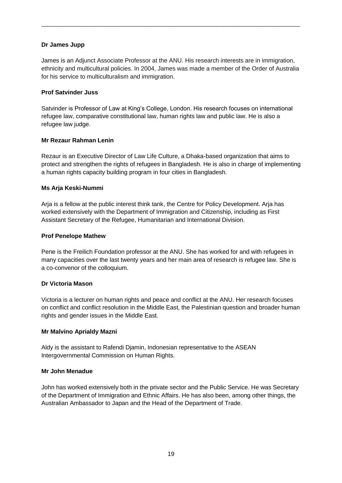#### **Dr James Jupp**

James is an Adjunct Associate Professor at the ANU. His research interests are in immigration, ethnicity and multicultural policies. In 2004, James was made a member of the Order of Australia for his service to multiculturalism and immigration.

\_\_\_\_\_\_\_\_\_\_\_\_\_\_\_\_\_\_\_\_\_\_\_\_\_\_\_\_\_\_\_\_\_\_\_\_\_\_\_\_\_\_\_\_\_\_\_\_\_\_\_\_\_\_\_\_\_\_\_\_\_\_\_\_\_\_\_\_\_\_\_\_\_\_\_\_\_\_\_\_\_

#### **Prof Satvinder Juss**

Satvinder is Professor of Law at King's College, London. His research focuses on international refugee law, comparative constitutional law, human rights law and public law. He is also a refugee law judge.

#### **Mr Rezaur Rahman Lenin**

Rezaur is an Executive Director of Law Life Culture, a Dhaka-based organization that aims to protect and strengthen the rights of refugees in Bangladesh. He is also in charge of implementing a human rights capacity building program in four cities in Bangladesh.

#### **Ms Arja Keski-Nummi**

Arja is a fellow at the public interest think tank, the Centre for Policy Development. Arja has worked extensively with the Department of Immigration and Citizenship, including as First Assistant Secretary of the Refugee, Humanitarian and International Division.

#### **Prof Penelope Mathew**

Pene is the Freilich Foundation professor at the ANU. She has worked for and with refugees in many capacities over the last twenty years and her main area of research is refugee law. She is a co-convenor of the colloquium.

#### **Dr Victoria Mason**

Victoria is a lecturer on human rights and peace and conflict at the ANU. Her research focuses on conflict and conflict resolution in the Middle East, the Palestinian question and broader human rights and gender issues in the Middle East.

#### **Mr Malvino Aprialdy Mazni**

Aldy is the assistant to Rafendi Djamin, Indonesian representative to the ASEAN Intergovernmental Commission on Human Rights.

#### **Mr John Menadue**

John has worked extensively both in the private sector and the Public Service. He was Secretary of the Department of Immigration and Ethnic Affairs. He has also been, among other things, the Australian Ambassador to Japan and the Head of the Department of Trade.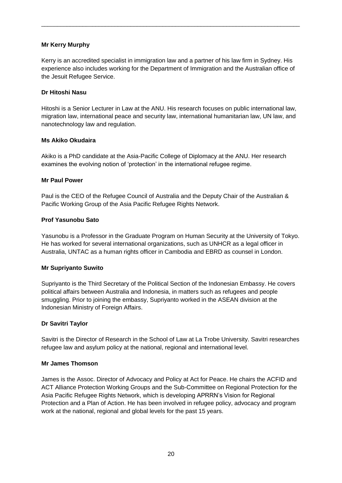#### **Mr Kerry Murphy**

Kerry is an accredited specialist in immigration law and a partner of his law firm in Sydney. His experience also includes working for the Department of Immigration and the Australian office of the Jesuit Refugee Service.

\_\_\_\_\_\_\_\_\_\_\_\_\_\_\_\_\_\_\_\_\_\_\_\_\_\_\_\_\_\_\_\_\_\_\_\_\_\_\_\_\_\_\_\_\_\_\_\_\_\_\_\_\_\_\_\_\_\_\_\_\_\_\_\_\_\_\_\_\_\_\_\_\_\_\_\_\_\_\_\_\_

#### **Dr Hitoshi Nasu**

Hitoshi is a Senior Lecturer in Law at the ANU. His research focuses on public international law, migration law, international peace and security law, international humanitarian law, UN law, and nanotechnology law and regulation.

#### **Ms Akiko Okudaira**

Akiko is a PhD candidate at the Asia-Pacific College of Diplomacy at the ANU. Her research examines the evolving notion of 'protection' in the international refugee regime.

#### **Mr Paul Power**

Paul is the CEO of the Refugee Council of Australia and the Deputy Chair of the Australian & Pacific Working Group of the Asia Pacific Refugee Rights Network.

#### **Prof Yasunobu Sato**

Yasunobu is a Professor in the Graduate Program on Human Security at the University of Tokyo. He has worked for several international organizations, such as UNHCR as a legal officer in Australia, UNTAC as a human rights officer in Cambodia and EBRD as counsel in London.

#### **Mr Supriyanto Suwito**

Supriyanto is the Third Secretary of the Political Section of the Indonesian Embassy. He covers political affairs between Australia and Indonesia, in matters such as refugees and people smuggling. Prior to joining the embassy, Supriyanto worked in the ASEAN division at the Indonesian Ministry of Foreign Affairs.

#### **Dr Savitri Taylor**

Savitri is the Director of Research in the School of Law at La Trobe University. Savitri researches refugee law and asylum policy at the national, regional and international level.

#### **Mr James Thomson**

James is the Assoc. Director of Advocacy and Policy at Act for Peace. He chairs the ACFID and ACT Alliance Protection Working Groups and the Sub-Committee on Regional Protection for the Asia Pacific Refugee Rights Network, which is developing APRRN's Vision for Regional Protection and a Plan of Action. He has been involved in refugee policy, advocacy and program work at the national, regional and global levels for the past 15 years.